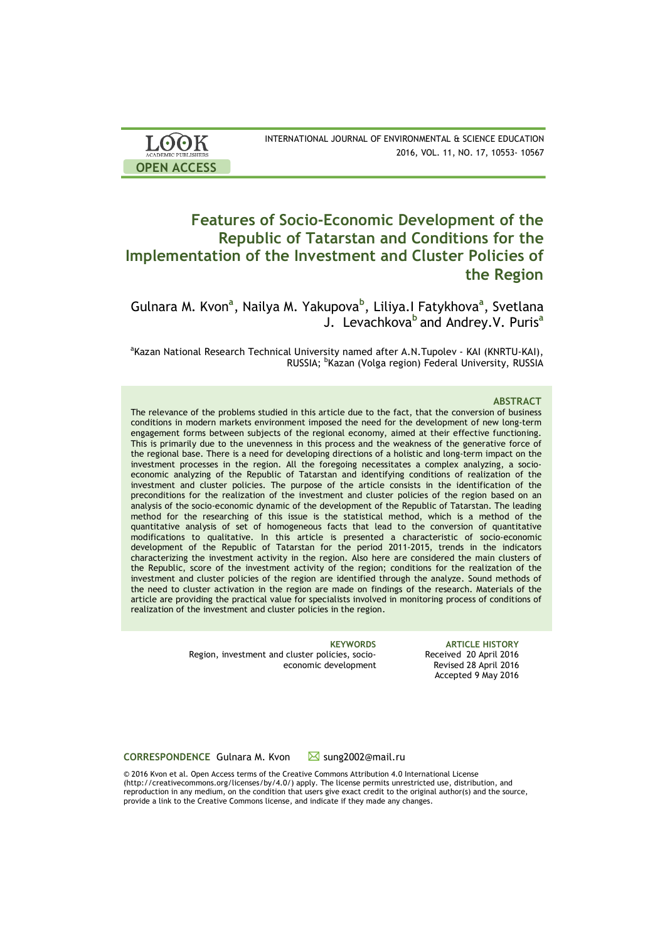| <b>LOOK</b>                | INTERNATIONAL JOURNAL OF ENVIRONMENTAL & SCIENCE EDUCATION |
|----------------------------|------------------------------------------------------------|
| <b>ACADEMIC PUBLISHERS</b> | 2016, VOL. 11, NO. 17, 10553-10567                         |
| <b>OPEN ACCESS</b>         |                                                            |

# **Features of Socio-Economic Development of the Republic of Tatarstan and Conditions for the Implementation of the Investment and Cluster Policies of the Region**

Gulnara M. Kvon<sup>a</sup>, Nailya M. Yakupova<sup>b</sup>, Liliya.I Fatykhova<sup>a</sup>, Svetlana J. Levachkova<sup>b</sup> and Andrey.V. Puris<sup>a</sup>

<sup>a</sup>Kazan National Research Technical University named after A.N.Tupolev - KAI (KNRTU-KAI), RUSSIA; <sup>b</sup>Kazan (Volga region) Federal University, RUSSIA

### **ABSTRACT**

The relevance of the problems studied in this article due to the fact, that the conversion of business conditions in modern markets environment imposed the need for the development of new long-term engagement forms between subjects of the regional economy, aimed at their effective functioning. This is primarily due to the unevenness in this process and the weakness of the generative force of the regional base. There is a need for developing directions of a holistic and long-term impact on the investment processes in the region. All the foregoing necessitates a complex analyzing, a socioeconomic analyzing of the Republic of Tatarstan and identifying conditions of realization of the investment and cluster policies. The purpose of the article consists in the identification of the preconditions for the realization of the investment and cluster policies of the region based on an analysis of the socio-economic dynamic of the development of the Republic of Tatarstan. The leading method for the researching of this issue is the statistical method, which is a method of the quantitative analysis of set of homogeneous facts that lead to the conversion of quantitative modifications to qualitative. In this article is presented a characteristic of socio-economic development of the Republic of Tatarstan for the period 2011-2015, trends in the indicators characterizing the investment activity in the region. Also here are considered the main clusters of the Republic, score of the investment activity of the region; conditions for the realization of the investment and cluster policies of the region are identified through the analyze. Sound methods of the need to cluster activation in the region are made on findings of the research. Materials of the article are providing the practical value for specialists involved in monitoring process of conditions of realization of the investment and cluster policies in the region.

> Region, investment and cluster policies, socioeconomic development

**KEYWORDS ARTICLE HISTORY** Received 20 April 2016 Revised 28 April 2016 Accepted 9 May 2016

**CORRESPONDENCE** Gulnara M. Kvon ■ sung2002@mail.ru

© 2016 Kvon et al. Open Access terms of the Creative Commons Attribution 4.0 International License (http://creativecommons.org/licenses/by/4.0/) apply. The license permits unrestricted use, distribution, and reproduction in any medium, on the condition that users give exact credit to the original author(s) and the source, provide a link to the Creative Commons license, and indicate if they made any changes.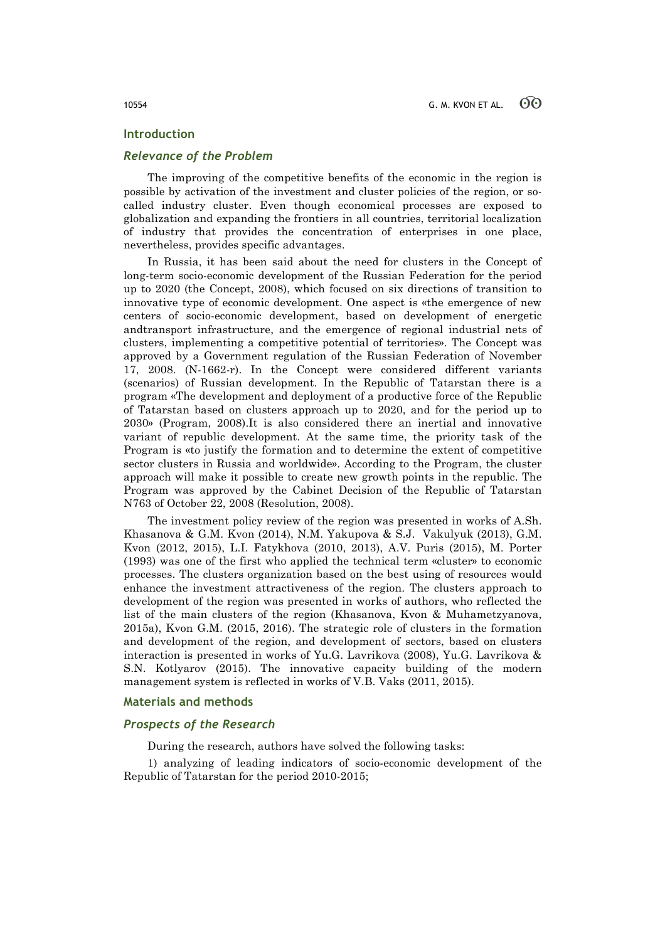### **Introduction**

# *Relevance of the Problem*

The improving of the competitive benefits of the economic in the region is possible by activation of the investment and cluster policies of the region, or socalled industry cluster. Even though economical processes are exposed to globalization and expanding the frontiers in all countries, territorial localization of industry that provides the concentration of enterprises in one place, nevertheless, provides specific advantages.

In Russia, it has been said about the need for clusters in the Concept of long-term socio-economic development of the Russian Federation for the period up to 2020 (the Concept, 2008), which focused on six directions of transition to innovative type of economic development. One aspect is «the emergence of new centers of socio-economic development, based on development of energetic andtransport infrastructure, and the emergence of regional industrial nets of clusters, implementing a competitive potential of territories». The Concept was approved by a Government regulation of the Russian Federation of November 17, 2008. (N-1662-r). In the Concept were considered different variants (scenarios) of Russian development. In the Republic of Tatarstan there is a program «The development and deployment of a productive force of the Republic of Tatarstan based on clusters approach up to 2020, and for the period up to 2030» (Program, 2008).It is also considered there an inertial and innovative variant of republic development. At the same time, the priority task of the Program is «to justify the formation and to determine the extent of competitive sector clusters in Russia and worldwide». According to the Program, the cluster approach will make it possible to create new growth points in the republic. The Program was approved by the Cabinet Decision of the Republic of Tatarstan N763 of October 22, 2008 (Resolution, 2008).

The investment policy review of the region was presented in works of A.Sh. Khasanova & G.M. Kvon (2014), N.M. Yakupova & S.J. Vakulyuk (2013), G.M. Kvon (2012, 2015), L.I. Fatykhova (2010, 2013), A.V. Puris (2015), M. Porter (1993) was one of the first who applied the technical term «cluster» to economic processes. The clusters organization based on the best using of resources would enhance the investment attractiveness of the region. The clusters approach to development of the region was presented in works of authors, who reflected the list of the main clusters of the region (Khasanova, Kvon & Muhametzyanova, 2015a), Kvon G.M. (2015, 2016). The strategic role of clusters in the formation and development of the region, and development of sectors, based on clusters interaction is presented in works of Yu.G. Lavrikova (2008), Yu.G. Lavrikova & S.N. Kotlyarov (2015). The innovative capacity building of the modern management system is reflected in works of V.B. Vaks (2011, 2015).

### **Materials and methods**

### *Prospects of the Research*

During the research, authors have solved the following tasks:

1) analyzing of leading indicators of socio-economic development of the Republic of Tatarstan for the period 2010-2015;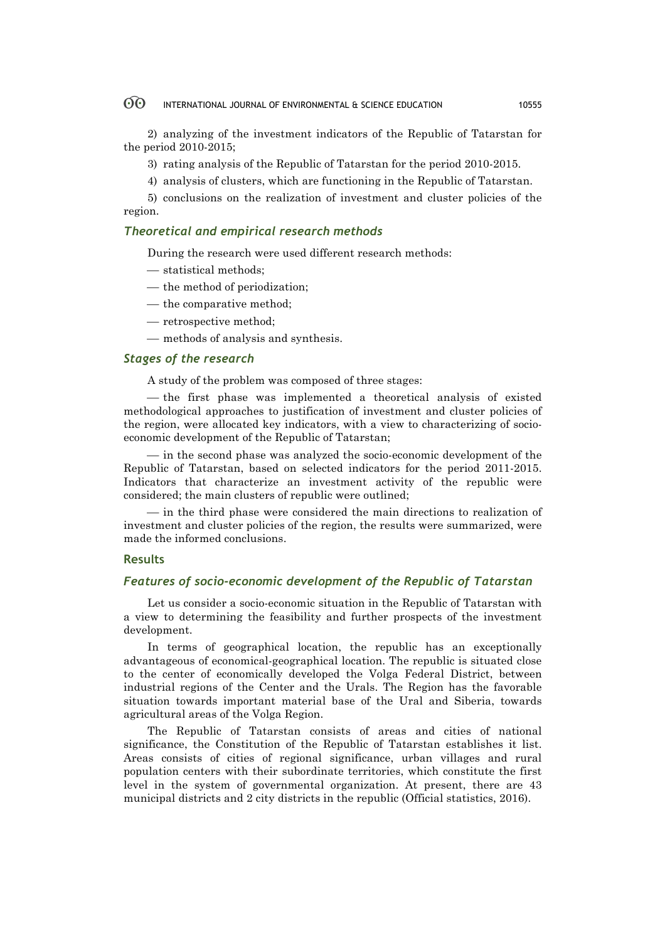#### 60 INTERNATIONAL JOURNAL OF ENVIRONMENTAL & SCIENCE EDUCATION 10555

2) analyzing of the investment indicators of the Republic of Tatarstan for the period 2010-2015;

3) rating analysis of the Republic of Tatarstan for the period 2010-2015.

4) analysis of clusters, which are functioning in the Republic of Tatarstan.

5) conclusions on the realization of investment and cluster policies of the region.

# *Theoretical and empirical research methods*

During the research were used different research methods:

- $-$  statistical methods;
- $-$  the method of periodization;
- $-$  the comparative method:
- retrospective method;
- methods of analysis and synthesis.

# *Stages of the research*

A study of the problem was composed of three stages:

— the first phase was implemented a theoretical analysis of existed methodological approaches to justification of investment and cluster policies of the region, were allocated key indicators, with a view to characterizing of socioeconomic development of the Republic of Tatarstan;

¾ in the second phase was analyzed the socio-economic development of the Republic of Tatarstan, based on selected indicators for the period 2011-2015. Indicators that characterize an investment activity of the republic were considered; the main clusters of republic were outlined;

¾ in the third phase were considered the main directions to realization of investment and cluster policies of the region, the results were summarized, were made the informed conclusions.

# **Results**

# *Features of socio-economic development of the Republic of Tatarstan*

Let us consider a socio-economic situation in the Republic of Tatarstan with a view to determining the feasibility and further prospects of the investment development.

In terms of geographical location, the republic has an exceptionally advantageous of economical-geographical location. The republic is situated close to the center of economically developed the Volga Federal District, between industrial regions of the Center and the Urals. The Region has the favorable situation towards important material base of the Ural and Siberia, towards agricultural areas of the Volga Region.

The Republic of Tatarstan consists of areas and cities of national significance, the Constitution of the Republic of Tatarstan establishes it list. Areas consists of cities of regional significance, urban villages and rural population centers with their subordinate territories, which constitute the first level in the system of governmental organization. At present, there are 43 municipal districts and 2 city districts in the republic (Official statistics, 2016).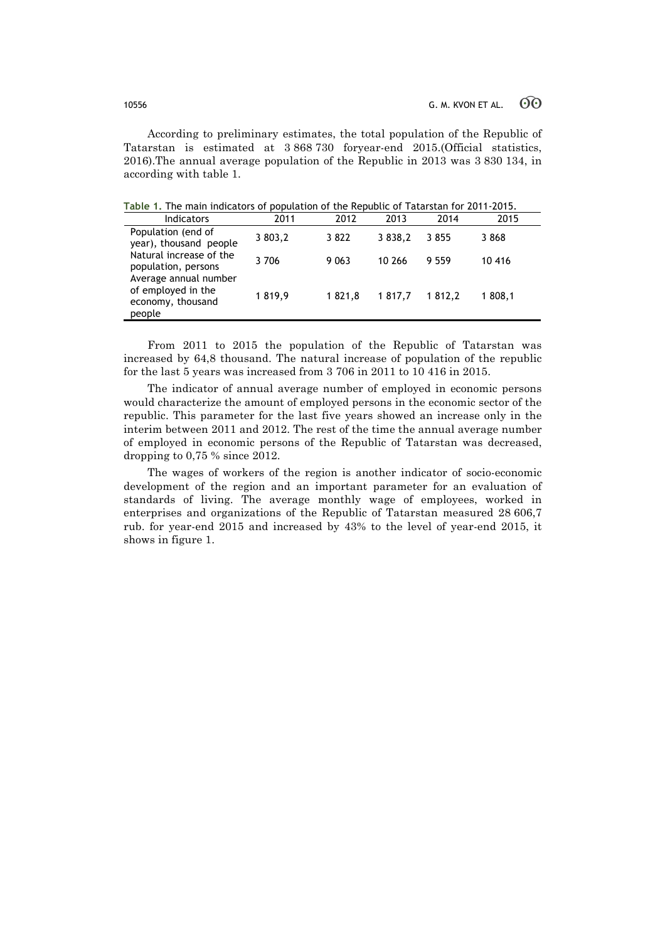According to preliminary estimates, the total population of the Republic of Tatarstan is estimated at 3 868 730 foryear-end 2015.(Official statistics, 2016).The annual average population of the Republic in 2013 was 3 830 134, in according with table 1.

**Table 1.** The main indicators of population of the Republic of Tatarstan for 2011-2015.

| <b>Indicators</b>                                                          | 2011    | 2012    | 2013        | 2014   | 2015    |
|----------------------------------------------------------------------------|---------|---------|-------------|--------|---------|
| Population (end of<br>year), thousand people                               | 3 803,2 | 3822    | 3 8 3 8 , 2 | 3855   | 3868    |
| Natural increase of the<br>population, persons                             | 3706    | 9 0 6 3 | 10 266      | 9559   | 10 416  |
| Average annual number<br>of employed in the<br>economy, thousand<br>people | 1819,9  | 1821.8  | 1 817.7     | 1812.2 | 1 808,1 |

From 2011 to 2015 the population of the Republic of Tatarstan was increased by 64,8 thousand. The natural increase of population of the republic for the last 5 years was increased from 3 706 in 2011 to 10 416 in 2015.

The indicator of annual average number of employed in economic persons would characterize the amount of employed persons in the economic sector of the republic. This parameter for the last five years showed an increase only in the interim between 2011 and 2012. The rest of the time the annual average number of employed in economic persons of the Republic of Tatarstan was decreased, dropping to 0,75 % since 2012.

The wages of workers of the region is another indicator of socio-economic development of the region and an important parameter for an evaluation of standards of living. The average monthly wage of employees, worked in enterprises and organizations of the Republic of Tatarstan measured 28 606,7 rub. for year-end 2015 and increased by 43% to the level of year-end 2015, it shows in figure 1.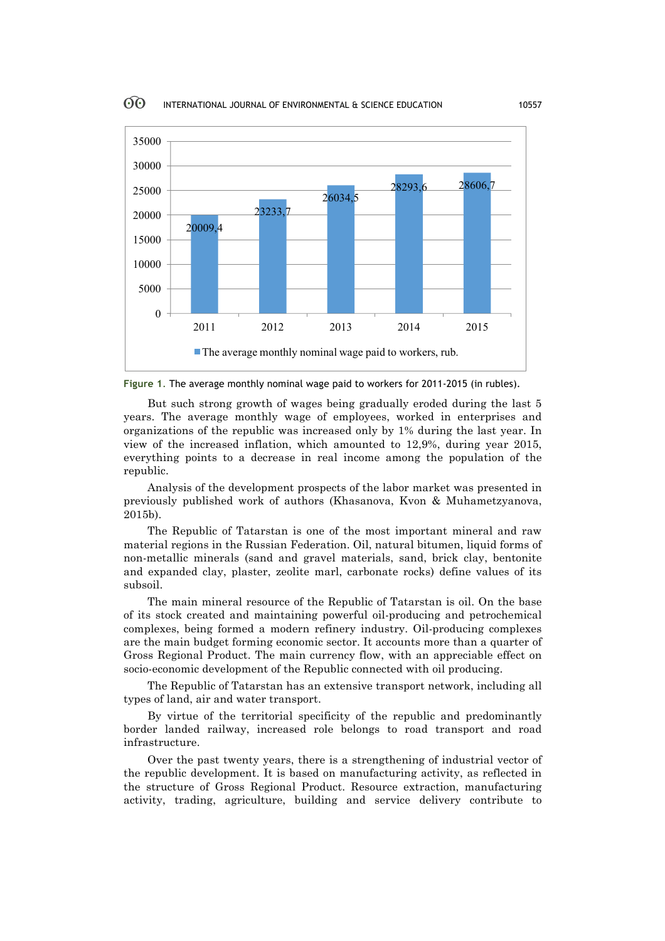

**Figure 1**. The average monthly nominal wage paid to workers for 2011-2015 (in rubles).

But such strong growth of wages being gradually eroded during the last 5 years. The average monthly wage of employees, worked in enterprises and organizations of the republic was increased only by 1% during the last year. In view of the increased inflation, which amounted to 12,9%, during year 2015, everything points to a decrease in real income among the population of the republic.

Analysis of the development prospects of the labor market was presented in previously published work of authors (Khasanova, Kvon & Muhametzyanova, 2015b).

The Republic of Tatarstan is one of the most important mineral and raw material regions in the Russian Federation. Oil, natural bitumen, liquid forms of non-metallic minerals (sand and gravel materials, sand, brick clay, bentonite and expanded clay, plaster, zeolite marl, carbonate rocks) define values of its subsoil.

The main mineral resource of the Republic of Tatarstan is oil. On the base of its stock created and maintaining powerful oil-producing and petrochemical complexes, being formed a modern refinery industry. Oil-producing complexes are the main budget forming economic sector. It accounts more than a quarter of Gross Regional Product. The main currency flow, with an appreciable effect on socio-economic development of the Republic connected with oil producing.

The Republic of Tatarstan has an extensive transport network, including all types of land, air and water transport.

By virtue of the territorial specificity of the republic and predominantly border landed railway, increased role belongs to road transport and road infrastructure.

Over the past twenty years, there is a strengthening of industrial vector of the republic development. It is based on manufacturing activity, as reflected in the structure of Gross Regional Product. Resource extraction, manufacturing activity, trading, agriculture, building and service delivery contribute to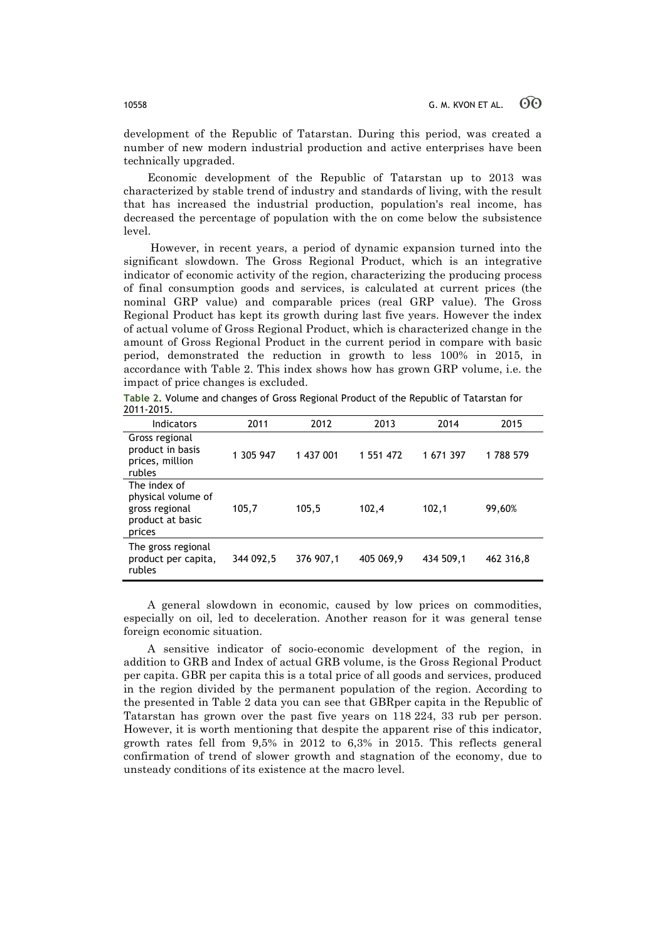development of the Republic of Tatarstan. During this period, was created a number of new modern industrial production and active enterprises have been technically upgraded.

Economic development of the Republic of Tatarstan up to 2013 was characterized by stable trend of industry and standards of living, with the result that has increased the industrial production, population's real income, has decreased the percentage of population with the on come below the subsistence level.

However, in recent years, a period of dynamic expansion turned into the significant slowdown. The Gross Regional Product, which is an integrative indicator of economic activity of the region, characterizing the producing process of final consumption goods and services, is calculated at current prices (the nominal GRP value) and comparable prices (real GRP value). The Gross Regional Product has kept its growth during last five years. However the index of actual volume of Gross Regional Product, which is characterized change in the amount of Gross Regional Product in the current period in compare with basic period, demonstrated the reduction in growth to less 100% in 2015, in accordance with Table 2. This index shows how has grown GRP volume, i.e. the impact of price changes is excluded.

**Table 2.** Volume and changes of Gross Regional Product of the Republic of Tatarstan for 2011-2015.

| Indicators                                                                         | 2011      | 2012      | 2013      | 2014      | 2015      |
|------------------------------------------------------------------------------------|-----------|-----------|-----------|-----------|-----------|
| Gross regional<br>product in basis<br>prices, million<br>rubles                    | 1 305 947 | 1 437 001 | 1 551 472 | 1 671 397 | 1788 579  |
| The index of<br>physical volume of<br>gross regional<br>product at basic<br>prices | 105,7     | 105,5     | 102,4     | 102,1     | 99,60%    |
| The gross regional<br>product per capita,<br>rubles                                | 344 092,5 | 376 907,1 | 405 069,9 | 434 509,1 | 462 316,8 |

A general slowdown in economic, caused by low prices on commodities, especially on oil, led to deceleration. Another reason for it was general tense foreign economic situation.

A sensitive indicator of socio-economic development of the region, in addition to GRB and Index of actual GRB volume, is the Gross Regional Product per capita. GBR per capita this is a total price of all goods and services, produced in the region divided by the permanent population of the region. According to the presented in Table 2 data you can see that GBRper capita in the Republic of Tatarstan has grown over the past five years on 118 224, 33 rub per person. However, it is worth mentioning that despite the apparent rise of this indicator, growth rates fell from 9,5% in 2012 to 6,3% in 2015. This reflects general confirmation of trend of slower growth and stagnation of the economy, due to unsteady conditions of its existence at the macro level.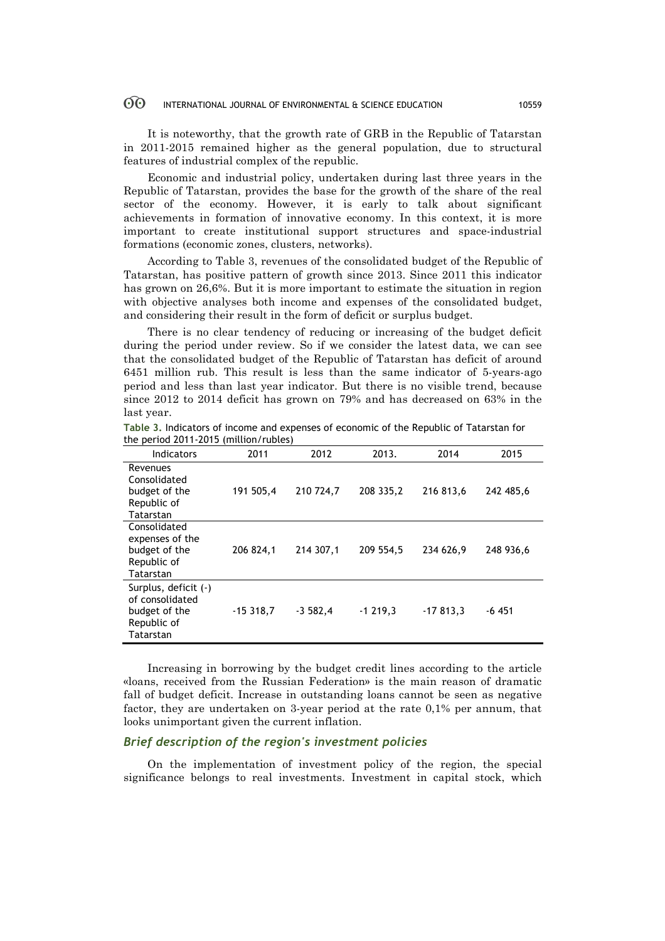#### $\odot$ INTERNATIONAL JOURNAL OF ENVIRONMENTAL & SCIENCE EDUCATION 10559

It is noteworthy, that the growth rate of GRB in the Republic of Tatarstan in 2011-2015 remained higher as the general population, due to structural features of industrial complex of the republic.

Economic and industrial policy, undertaken during last three years in the Republic of Tatarstan, provides the base for the growth of the share of the real sector of the economy. However, it is early to talk about significant achievements in formation of innovative economy. In this context, it is more important to create institutional support structures and space-industrial formations (economic zones, clusters, networks).

According to Table 3, revenues of the consolidated budget of the Republic of Tatarstan, has positive pattern of growth since 2013. Since 2011 this indicator has grown on 26,6%. But it is more important to estimate the situation in region with objective analyses both income and expenses of the consolidated budget, and considering their result in the form of deficit or surplus budget.

There is no clear tendency of reducing or increasing of the budget deficit during the period under review. So if we consider the latest data, we can see that the consolidated budget of the Republic of Tatarstan has deficit of around 6451 million rub. This result is less than the same indicator of 5-years-ago period and less than last year indicator. But there is no visible trend, because since 2012 to 2014 deficit has grown on 79% and has decreased on 63% in the last year.

| <b>Indicators</b>                                                                    | 2011       | 2012       | 2013.     | 2014       | 2015      |
|--------------------------------------------------------------------------------------|------------|------------|-----------|------------|-----------|
| Revenues<br>Consolidated<br>budget of the<br>Republic of<br>Tatarstan                | 191 505,4  | 210 724.7  | 208 335,2 | 216 813,6  | 242 485,6 |
| Consolidated<br>expenses of the<br>budget of the<br>Republic of<br>Tatarstan         | 206 824,1  | 214 307,1  | 209 554,5 | 234 626,9  | 248 936,6 |
| Surplus, deficit (-)<br>of consolidated<br>budget of the<br>Republic of<br>Tatarstan | $-15318,7$ | $-3,582,4$ | $-1219,3$ | $-17813,3$ | $-6451$   |

**Table 3.** Indicators of income and expenses of economic of the Republic of Tatarstan for the period 2011-2015 (million/rubles)

Increasing in borrowing by the budget credit lines according to the article «loans, received from the Russian Federation» is the main reason of dramatic fall of budget deficit. Increase in outstanding loans cannot be seen as negative factor, they are undertaken on 3-year period at the rate 0,1% per annum, that looks unimportant given the current inflation.

# *Brief description of the region's investment policies*

On the implementation of investment policy of the region, the special significance belongs to real investments. Investment in capital stock, which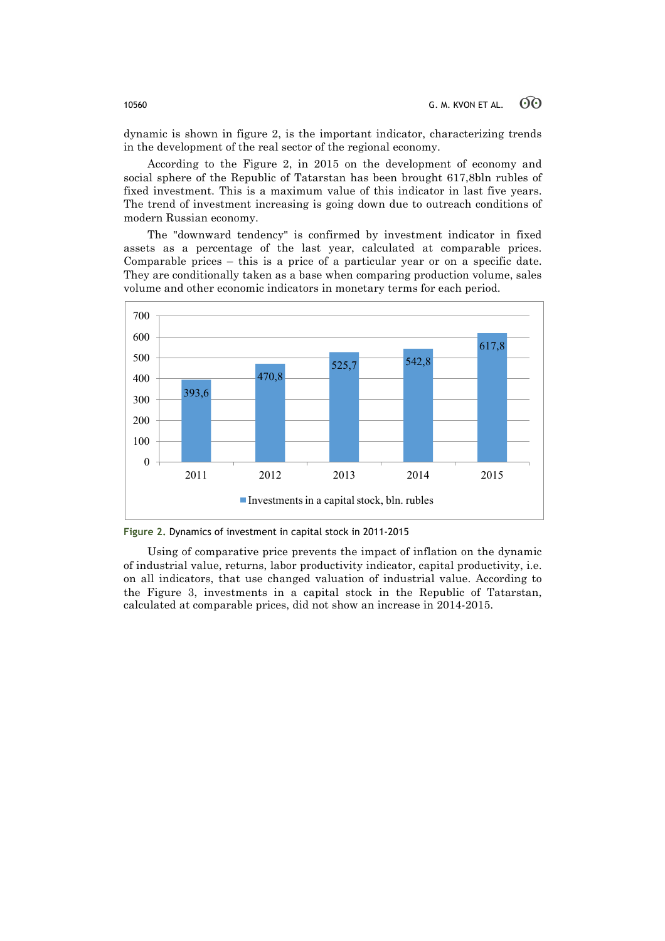dynamic is shown in figure 2, is the important indicator, characterizing trends in the development of the real sector of the regional economy.

According to the Figure 2, in 2015 on the development of economy and social sphere of the Republic of Tatarstan has been brought 617,8bln rubles of fixed investment. This is a maximum value of this indicator in last five years. The trend of investment increasing is going down due to outreach conditions of modern Russian economy.

The "downward tendency" is confirmed by investment indicator in fixed assets as a percentage of the last year, calculated at comparable prices. Comparable prices – this is a price of a particular year or on a specific date. They are conditionally taken as a base when comparing production volume, sales volume and other economic indicators in monetary terms for each period.



**Figure 2.** Dynamics of investment in capital stock in 2011-2015

Using of comparative price prevents the impact of inflation on the dynamic of industrial value, returns, labor productivity indicator, capital productivity, i.e. on all indicators, that use changed valuation of industrial value. According to the Figure 3, investments in a capital stock in the Republic of Tatarstan, calculated at comparable prices, did not show an increase in 2014-2015.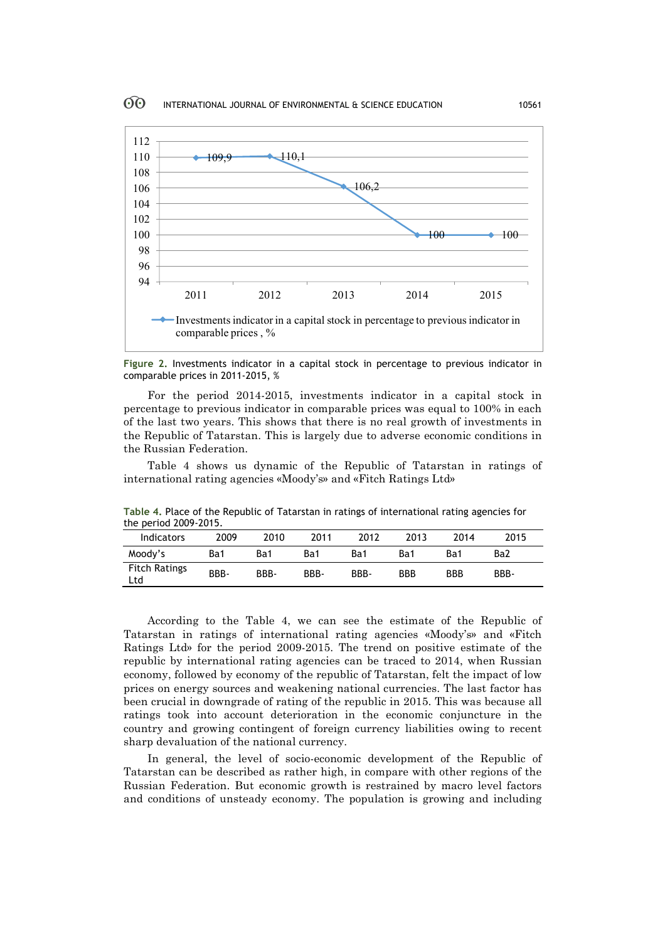

**Figure 2.** Investments indicator in a capital stock in percentage to previous indicator in comparable prices in 2011-2015, %

For the period 2014-2015, investments indicator in a capital stock in percentage to previous indicator in comparable prices was equal to 100% in each of the last two years. This shows that there is no real growth of investments in the Republic of Tatarstan. This is largely due to adverse economic conditions in the Russian Federation.

Table 4 shows us dynamic of the Republic of Tatarstan in ratings of international rating agencies «Moody's» and «Fitch Ratings Ltd»

| the period 2009-2015.       |      |      |      |      |            |            |      |  |
|-----------------------------|------|------|------|------|------------|------------|------|--|
| Indicators                  | 2009 | 2010 | 2011 | 2012 | 2013       | 2014       | 2015 |  |
| Moody's                     | Ba1  | Ba1  | Ba1  | Ba1  | Ba1        | Ba1        | Ba2  |  |
| <b>Fitch Ratings</b><br>Ltd | BBB- | BBB- | BBB- | BBB- | <b>BBB</b> | <b>BBB</b> | BBB- |  |

**Table 4.** Place of the Republic of Tatarstan in ratings of international rating agencies for the period 2009-2015.

According to the Table 4, we can see the estimate of the Republic of Tatarstan in ratings of international rating agencies «Moody's» and «Fitch Ratings Ltd» for the period 2009-2015. The trend on positive estimate of the republic by international rating agencies can be traced to 2014, when Russian economy, followed by economy of the republic of Tatarstan, felt the impact of low prices on energy sources and weakening national currencies. The last factor has been crucial in downgrade of rating of the republic in 2015. This was because all ratings took into account deterioration in the economic conjuncture in the country and growing contingent of foreign currency liabilities owing to recent sharp devaluation of the national currency.

In general, the level of socio-economic development of the Republic of Tatarstan can be described as rather high, in compare with other regions of the Russian Federation. But economic growth is restrained by macro level factors and conditions of unsteady economy. The population is growing and including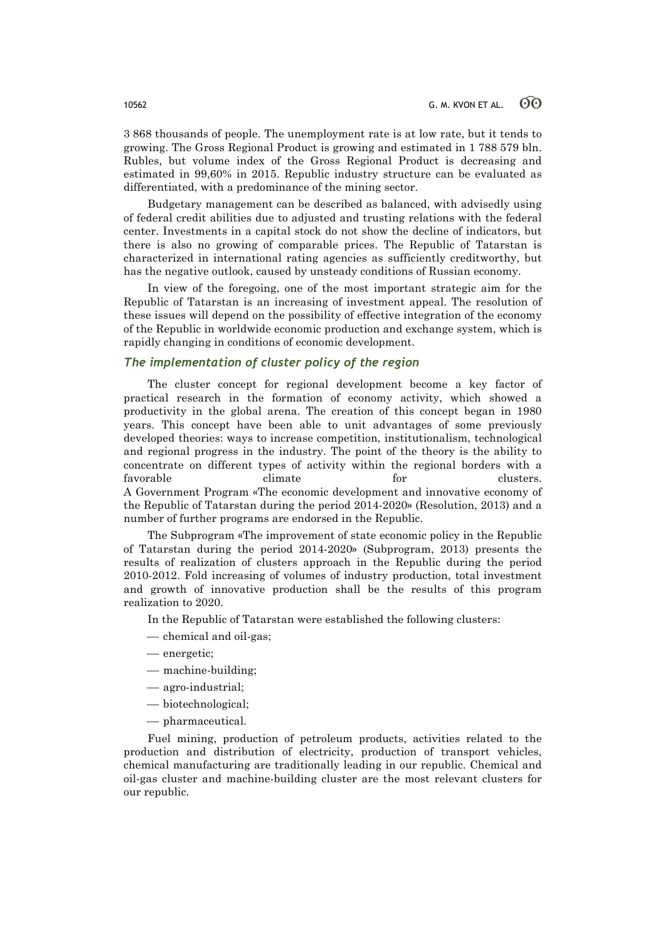3 868 thousands of people. The unemployment rate is at low rate, but it tends to growing. The Gross Regional Product is growing and estimated in 1 788 579 bln. Rubles, but volume index of the Gross Regional Product is decreasing and estimated in 99,60% in 2015. Republic industry structure can be evaluated as differentiated, with a predominance of the mining sector.

Budgetary management can be described as balanced, with advisedly using of federal credit abilities due to adjusted and trusting relations with the federal center. Investments in a capital stock do not show the decline of indicators, but there is also no growing of comparable prices. The Republic of Tatarstan is characterized in international rating agencies as sufficiently creditworthy, but has the negative outlook, caused by unsteady conditions of Russian economy.

In view of the foregoing, one of the most important strategic aim for the Republic of Tatarstan is an increasing of investment appeal. The resolution of these issues will depend on the possibility of effective integration of the economy of the Republic in worldwide economic production and exchange system, which is rapidly changing in conditions of economic development.

# *The implementation of cluster policy of the region*

The cluster concept for regional development become a key factor of practical research in the formation of economy activity, which showed a productivity in the global arena. The creation of this concept began in 1980 years. This concept have been able to unit advantages of some previously developed theories: ways to increase competition, institutionalism, technological and regional progress in the industry. The point of the theory is the ability to concentrate on different types of activity within the regional borders with a favorable climate for clusters. A Government Program «The economic development and innovative economy of the Republic of Tatarstan during the period 2014-2020» (Resolution, 2013) and a number of further programs are endorsed in the Republic.

The Subprogram «The improvement of state economic policy in the Republic of Tatarstan during the period 2014-2020» (Subprogram, 2013) presents the results of realization of clusters approach in the Republic during the period 2010-2012. Fold increasing of volumes of industry production, total investment and growth of innovative production shall be the results of this program realization to 2020.

In the Republic of Tatarstan were established the following clusters:

- chemical and oil-gas;
- energetic;
- $-$  machine-building;
- ¾ agro-industrial;
- ¾ biotechnological;
- $-$  pharmaceutical.

Fuel mining, production of petroleum products, activities related to the production and distribution of electricity, production of transport vehicles, chemical manufacturing are traditionally leading in our republic. Chemical and oil-gas cluster and machine-building cluster are the most relevant clusters for our republic.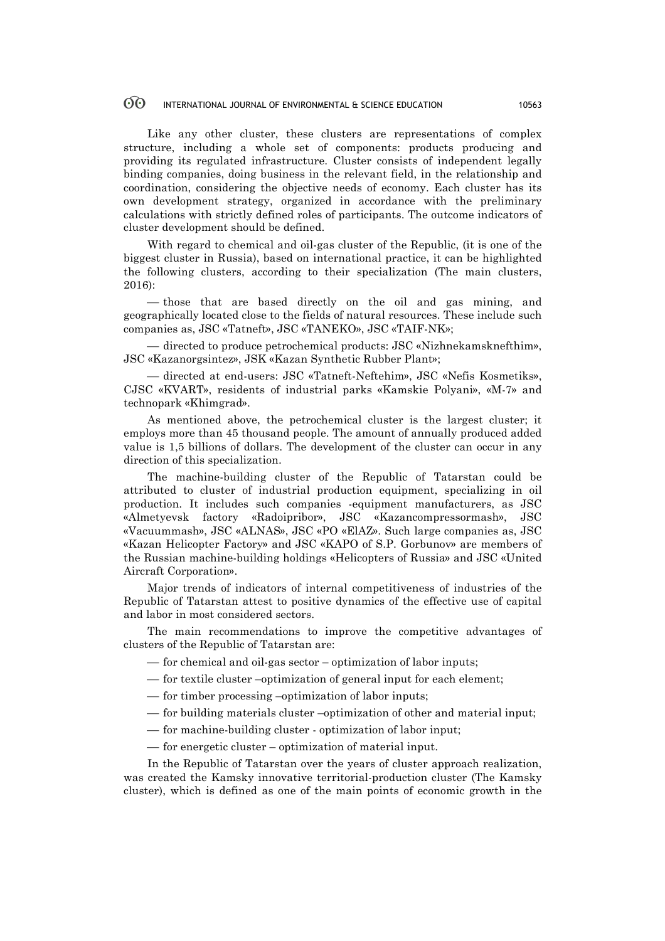#### $\odot$ INTERNATIONAL JOURNAL OF ENVIRONMENTAL & SCIENCE EDUCATION 10563

Like any other cluster, these clusters are representations of complex structure, including a whole set of components: products producing and providing its regulated infrastructure. Cluster consists of independent legally binding companies, doing business in the relevant field, in the relationship and coordination, considering the objective needs of economy. Each cluster has its own development strategy, organized in accordance with the preliminary calculations with strictly defined roles of participants. The outcome indicators of cluster development should be defined.

With regard to chemical and oil-gas cluster of the Republic, (it is one of the biggest cluster in Russia), based on international practice, it can be highlighted the following clusters, according to their specialization (The main clusters, 2016):

— those that are based directly on the oil and gas mining, and geographically located close to the fields of natural resources. These include such companies as, JSC «Tatneft», JSC «TANEKO», JSC «TAIF-NK»;

¾ directed to produce petrochemical products: JSC «Nizhnekamsknefthim», JSC «Kazanorgsintez», JSK «Kazan Synthetic Rubber Plant»;

¾ directed at end-users: JSC «Tatneft-Neftehim», JSC «Nefis Kosmetiks», CJSC «KVART», residents of industrial parks «Kamskie Polyani», «M-7» and technopark «Khimgrad».

As mentioned above, the petrochemical cluster is the largest cluster; it employs more than 45 thousand people. The amount of annually produced added value is 1,5 billions of dollars. The development of the cluster can occur in any direction of this specialization.

The machine-building cluster of the Republic of Tatarstan could be attributed to cluster of industrial production equipment, specializing in oil production. It includes such companies -equipment manufacturers, as JSC «Almetyevsk factory «Radoipribor», JSC «Kazancompressormash», JSC «Vacuummash», JSC «ALNAS», JSC «PO «ElAZ». Such large companies as, JSC «Kazan Helicopter Factory» and JSC «KAPO of S.P. Gorbunov» are members of the Russian machine-building holdings «Helicopters of Russia» and JSC «United Aircraft Corporation».

Major trends of indicators of internal competitiveness of industries of the Republic of Tatarstan attest to positive dynamics of the effective use of capital and labor in most considered sectors.

The main recommendations to improve the competitive advantages of clusters of the Republic of Tatarstan are:

- $\frac{1}{\sqrt{1-\frac{1}{\sqrt{1-\frac{1}{\sqrt{1-\frac{1}{\sqrt{1-\frac{1}{\sqrt{1-\frac{1}{\sqrt{1-\frac{1}{\sqrt{1-\frac{1}{\sqrt{1-\frac{1}{\sqrt{1-\frac{1}{\sqrt{1-\frac{1}{\sqrt{1-\frac{1}{\sqrt{1-\frac{1}{\sqrt{1-\frac{1}{\sqrt{1-\frac{1}{\sqrt{1-\frac{1}{\sqrt{1-\frac{1}{\sqrt{1-\frac{1}{\sqrt{1-\frac{1}{\sqrt{1-\frac{1}{\sqrt{1-\frac{1}{\sqrt{1-\frac{1}{\sqrt{1-\frac{1}{\sqrt{1-\frac{1}{\sqrt{1-\frac{1$
- for textile cluster –optimization of general input for each element;
- for timber processing –optimization of labor inputs;
- for building materials cluster –optimization of other and material input;
- ¾ for machine-building cluster optimization of labor input;
- $\frac{1}{\sqrt{1-\frac{1}{\sqrt{1-\frac{1}{\sqrt{1-\frac{1}{\sqrt{1-\frac{1}{\sqrt{1-\frac{1}{\sqrt{1-\frac{1}{\sqrt{1-\frac{1}{\sqrt{1-\frac{1}{\sqrt{1-\frac{1}{\sqrt{1-\frac{1}{\sqrt{1-\frac{1}{\sqrt{1-\frac{1}{\sqrt{1-\frac{1}{\sqrt{1-\frac{1}{\sqrt{1-\frac{1}{\sqrt{1-\frac{1}{\sqrt{1-\frac{1}{\sqrt{1-\frac{1}{\sqrt{1-\frac{1}{\sqrt{1-\frac{1}{\sqrt{1-\frac{1}{\sqrt{1-\frac{1}{\sqrt{1-\frac{1}{\sqrt{1-\frac{1$

In the Republic of Tatarstan over the years of cluster approach realization, was created the Kamsky innovative territorial-production cluster (The Kamsky cluster), which is defined as one of the main points of economic growth in the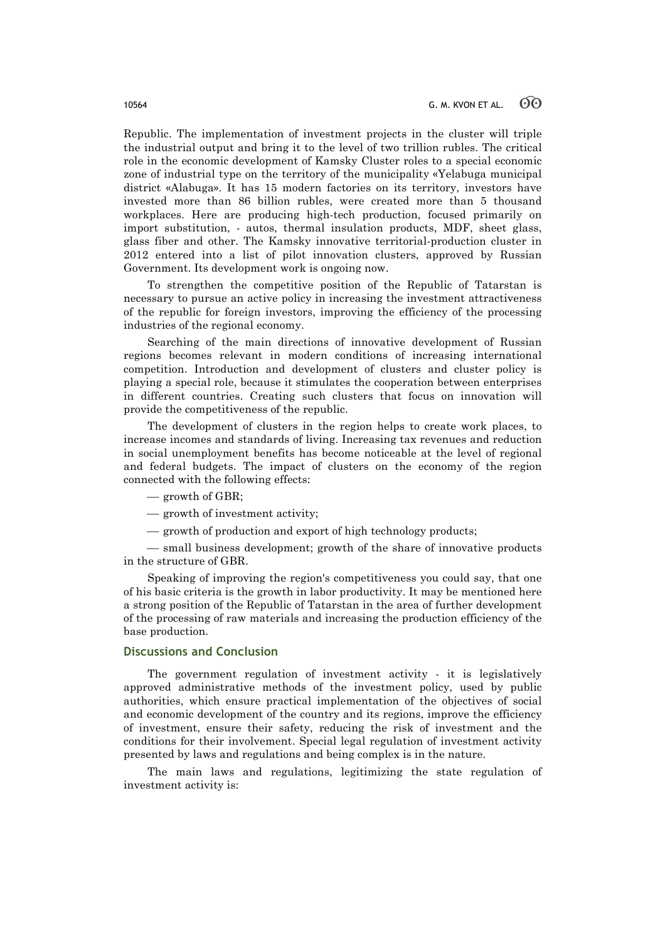Republic. The implementation of investment projects in the cluster will triple the industrial output and bring it to the level of two trillion rubles. The critical role in the economic development of Kamsky Cluster roles to a special economic zone of industrial type on the territory of the municipality «Yelabuga municipal district «Alabuga». It has 15 modern factories on its territory, investors have invested more than 86 billion rubles, were created more than 5 thousand workplaces. Here are producing high-tech production, focused primarily on import substitution, - autos, thermal insulation products, MDF, sheet glass, glass fiber and other. The Kamsky innovative territorial-production cluster in 2012 entered into a list of pilot innovation clusters, approved by Russian Government. Its development work is ongoing now.

To strengthen the competitive position of the Republic of Tatarstan is necessary to pursue an active policy in increasing the investment attractiveness of the republic for foreign investors, improving the efficiency of the processing industries of the regional economy.

Searching of the main directions of innovative development of Russian regions becomes relevant in modern conditions of increasing international competition. Introduction and development of clusters and cluster policy is playing a special role, because it stimulates the cooperation between enterprises in different countries. Creating such clusters that focus on innovation will provide the competitiveness of the republic.

The development of clusters in the region helps to create work places, to increase incomes and standards of living. Increasing tax revenues and reduction in social unemployment benefits has become noticeable at the level of regional and federal budgets. The impact of clusters on the economy of the region connected with the following effects:

- $-$  growth of GBR:
- $-$  growth of investment activity;
- $-$  growth of production and export of high technology products;

— small business development; growth of the share of innovative products in the structure of GBR.

Speaking of improving the region's competitiveness you could say, that one of his basic criteria is the growth in labor productivity. It may be mentioned here a strong position of the Republic of Tatarstan in the area of further development of the processing of raw materials and increasing the production efficiency of the base production.

# **Discussions and Conclusion**

The government regulation of investment activity - it is legislatively approved administrative methods of the investment policy, used by public authorities, which ensure practical implementation of the objectives of social and economic development of the country and its regions, improve the efficiency of investment, ensure their safety, reducing the risk of investment and the conditions for their involvement. Special legal regulation of investment activity presented by laws and regulations and being complex is in the nature.

The main laws and regulations, legitimizing the state regulation of investment activity is: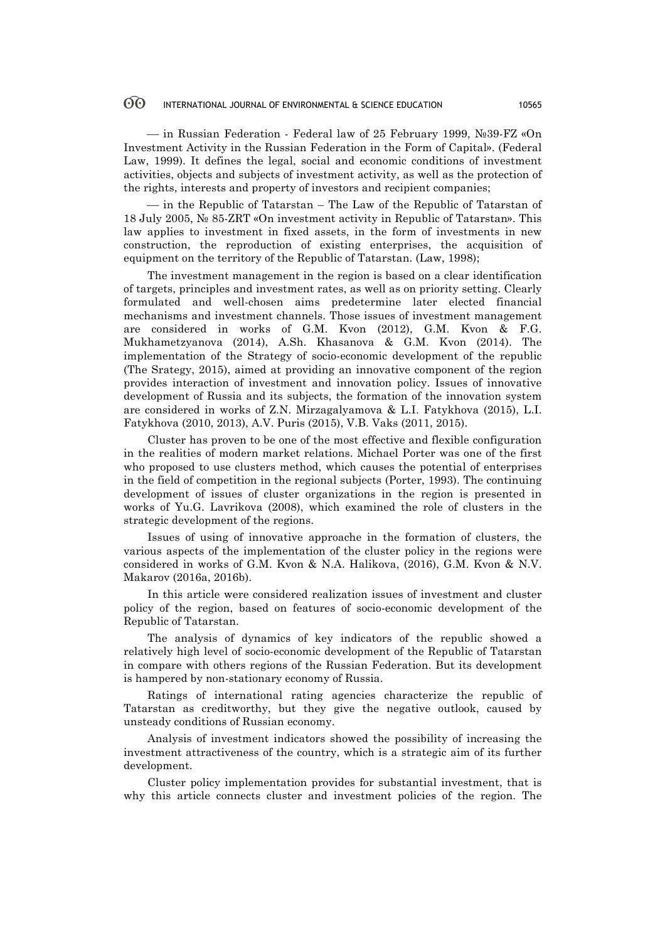#### $\odot$ INTERNATIONAL JOURNAL OF ENVIRONMENTAL & SCIENCE EDUCATION 10565

¾ in Russian Federation - Federal law of 25 February 1999, №39-FZ «On Investment Activity in the Russian Federation in the Form of Capital». (Federal Law, 1999). It defines the legal, social and economic conditions of investment activities, objects and subjects of investment activity, as well as the protection of the rights, interests and property of investors and recipient companies;

— in the Republic of Tatarstan – The Law of the Republic of Tatarstan of 18 July 2005, № 85-ZRT «On investment activity in Republic of Tatarstan». This law applies to investment in fixed assets, in the form of investments in new construction, the reproduction of existing enterprises, the acquisition of equipment on the territory of the Republic of Tatarstan. (Law, 1998);

The investment management in the region is based on a clear identification of targets, principles and investment rates, as well as on priority setting. Clearly formulated and well-chosen aims predetermine later elected financial mechanisms and investment channels. Those issues of investment management are considered in works of G.M. Kvon (2012), G.M. Kvon & F.G. Mukhametzyanova (2014), A.Sh. Khasanova & G.M. Kvon (2014). The implementation of the Strategy of socio-economic development of the republic (The Srategy, 2015), aimed at providing an innovative component of the region provides interaction of investment and innovation policy. Issues of innovative development of Russia and its subjects, the formation of the innovation system are considered in works of Z.N. Mirzagalyamova & L.I. Fatykhova (2015), L.I. Fatykhova (2010, 2013), A.V. Puris (2015), V.B. Vaks (2011, 2015).

Cluster has proven to be one of the most effective and flexible configuration in the realities of modern market relations. Michael Porter was one of the first who proposed to use clusters method, which causes the potential of enterprises in the field of competition in the regional subjects (Porter, 1993). The continuing development of issues of cluster organizations in the region is presented in works of Yu.G. Lavrikova (2008), which examined the role of clusters in the strategic development of the regions.

Issues of using of innovative approache in the formation of clusters, the various aspects of the implementation of the cluster policy in the regions were considered in works of G.M. Kvon & N.A. Halikova, (2016), G.M. Kvon & N.V. Makarov (2016a, 2016b).

In this article were considered realization issues of investment and cluster policy of the region, based on features of socio-economic development of the Republic of Tatarstan.

The analysis of dynamics of key indicators of the republic showed a relatively high level of socio-economic development of the Republic of Tatarstan in compare with others regions of the Russian Federation. But its development is hampered by non-stationary economy of Russia.

Ratings of international rating agencies characterize the republic of Tatarstan as creditworthy, but they give the negative outlook, caused by unsteady conditions of Russian economy.

Analysis of investment indicators showed the possibility of increasing the investment attractiveness of the country, which is a strategic aim of its further development.

Cluster policy implementation provides for substantial investment, that is why this article connects cluster and investment policies of the region. The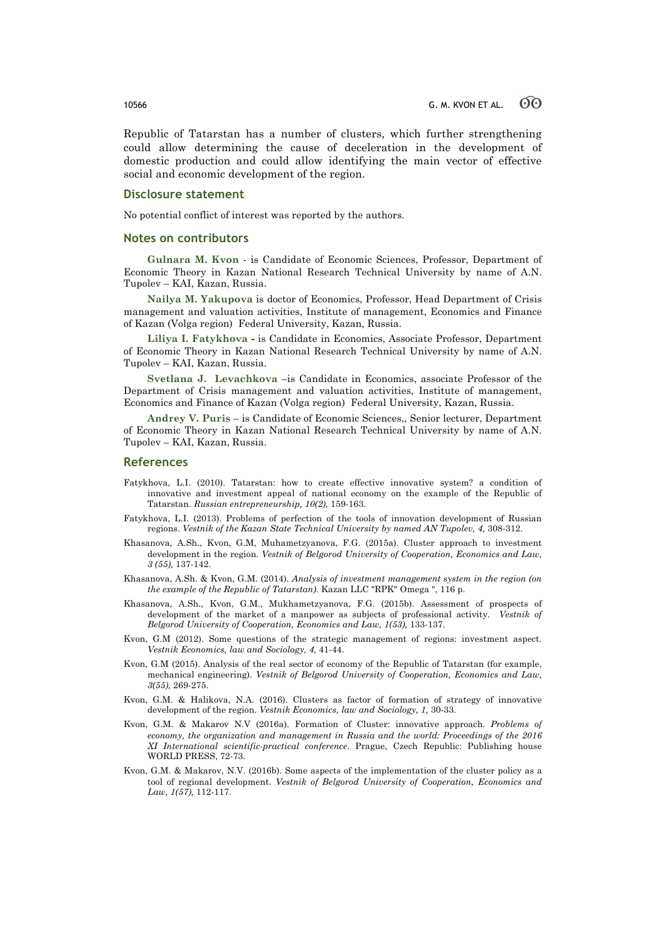Republic of Tatarstan has a number of clusters, which further strengthening could allow determining the cause of deceleration in the development of domestic production and could allow identifying the main vector of effective social and economic development of the region.

### **Disclosure statement**

No potential conflict of interest was reported by the authors.

### **Notes on contributors**

**Gulnara M. Kvon** - is Candidate of Economic Sciences, Professor, Department of Economic Theory in Kazan National Research Technical University by name of A.N. Tupolev – KAI, Kazan, Russia.

**Nailya M. Yakupova** is doctor of Economics, Professor, Head Department of Crisis management and valuation activities, Institute of management, Economics and Finance of Kazan (Volga region) Federal University, Kazan, Russia.

**Liliya I. Fatykhova -** is Candidate in Economics, Associate Professor, Department of Economic Theory in Kazan National Research Technical University by name of A.N. Tupolev – KAI, Kazan, Russia.

**Svetlana J. Levachkova** –is Candidate in Economics, associate Professor of the Department of Crisis management and valuation activities, Institute of management, Economics and Finance of Kazan (Volga region) Federal University, Kazan, Russia.

**Andrey V. Puris** – is Candidate of Economic Sciences,, Senior lecturer, Department of Economic Theory in Kazan National Research Technical University by name of A.N. Tupolev – KAI, Kazan, Russia.

### **References**

- Fatykhova, L.I. (2010). Tatarstan: how to create effective innovative system? a condition of innovative and investment appeal of national economy on the example of the Republic of Tatarstan. *Russian entrepreneurship, 10(2),* 159-163.
- Fatykhova, L.I. (2013). Problems of perfection of the tools of innovation development of Russian regions. *Vestnik of the Kazan State Technical University by named AN Tupolev, 4,* 308-312.
- Khasanova, A.Sh., Kvon, G.M, Muhametzyanova, F.G. (2015a). Cluster approach to investment development in the region. *Vestnik of Belgorod University of Cooperation, Economics and Law, 3 (55),* 137-142.
- Khasanova, A.Sh. & Kvon, G.M. (2014). *Analysis of investment management system in the region (on the example of the Republic of Tatarstan)*. Kazan LLC "RPK" Omega ", 116 p.
- Khasanova, A.Sh., Kvon, G.M., Mukhametzyanova, F.G. (2015b). Assessment of prospects of development of the market of a manpower as subjects of professional activity. *Vestnik of Belgorod University of Cooperation, Economics and Law, 1(53),* 133-137.
- Kvon, G.M (2012). Some questions of the strategic management of regions: investment aspect. *Vestnik Economics, law and Sociology, 4,* 41-44.
- Kvon, G.M (2015). Analysis of the real sector of economy of the Republic of Tatarstan (for example, mechanical engineering). *Vestnik of Belgorod University of Cooperation, Economics and Law, 3(55),* 269-275.
- Kvon, G.M. & Halikova, N.A. (2016). Clusters as factor of formation of strategy of innovative development of the region. *Vestnik Economics, law and Sociology, 1,* 30-33.
- Kvon, G.M. & Makarov N.V (2016a). Formation of Cluster: innovative approach. *Problems of economy, the organization and management in Russia and the world: Proceedings of the 2016 XI International scientific-practical conference*. Prague, Czech Republic: Publishing house WORLD PRESS, 72-73.
- Kvon, G.M. & Makarov, N.V. (2016b). Some aspects of the implementation of the cluster policy as a tool of regional development. *Vestnik of Belgorod University of Cooperation, Economics and Law, 1(57),* 112-117.